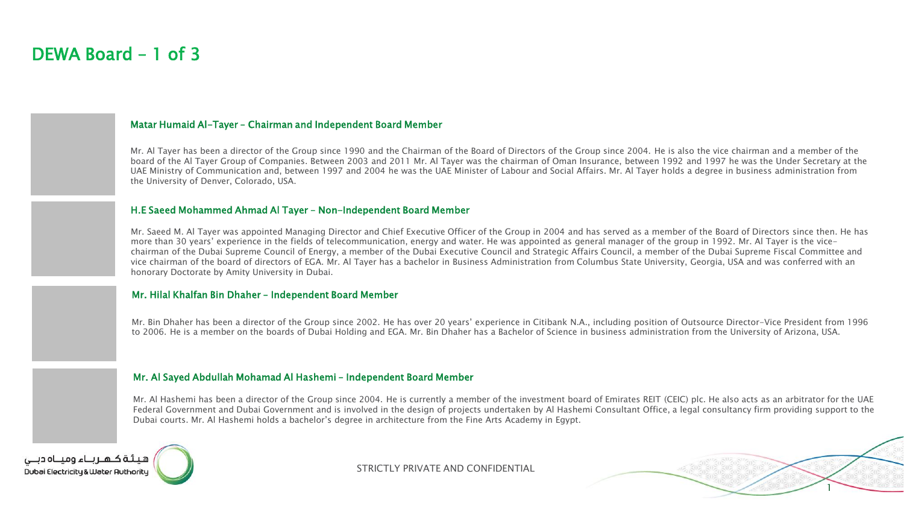# DEWA Board – 1 of 3

## Matar Humaid Al-Tayer – Chairman and Independent Board Member

Mr. Al Tayer has been a director of the Group since 1990 and the Chairman of the Board of Directors of the Group since 2004. He is also the vice chairman and a member of the board of the Al Tayer Group of Companies. Between 2003 and 2011 Mr. Al Tayer was the chairman of Oman Insurance, between 1992 and 1997 he was the Under Secretary at the UAE Ministry of Communication and, between 1997 and 2004 he was the UAE Minister of Labour and Social Affairs. Mr. Al Tayer holds a degree in business administration from the University of Denver, Colorado, USA.

#### H.E Saeed Mohammed Ahmad Al Tayer – Non-Independent Board Member

Mr. Saeed M. Al Tayer was appointed Managing Director and Chief Executive Officer of the Group in 2004 and has served as a member of the Board of Directors since then. He has more than 30 years' experience in the fields of telecommunication, energy and water. He was appointed as general manager of the group in 1992. Mr. Al Tayer is the vicechairman of the Dubai Supreme Council of Energy, a member of the Dubai Executive Council and Strategic Affairs Council, a member of the Dubai Supreme Fiscal Committee and vice chairman of the board of directors of EGA. Mr. Al Tayer has a bachelor in Business Administration from Columbus State University, Georgia, USA and was conferred with an honorary Doctorate by Amity University in Dubai.

#### Mr. Hilal Khalfan Bin Dhaher – Independent Board Member

Mr. Bin Dhaher has been a director of the Group since 2002. He has over 20 years' experience in Citibank N.A., including position of Outsource Director-Vice President from 1996 to 2006. He is a member on the boards of Dubai Holding and EGA. Mr. Bin Dhaher has a Bachelor of Science in business administration from the University of Arizona, USA.

## Mr. Al Sayed Abdullah Mohamad Al Hashemi – Independent Board Member

Mr. Al Hashemi has been a director of the Group since 2004. He is currently a member of the investment board of Emirates REIT (CEIC) plc. He also acts as an arbitrator for the UAE Federal Government and Dubai Government and is involved in the design of projects undertaken by Al Hashemi Consultant Office, a legal consultancy firm providing support to the Dubai courts. Mr. Al Hashemi holds a bachelor's degree in architecture from the Fine Arts Academy in Egypt.

1

STRICTLY PRIVATE AND CONFIDENTIAL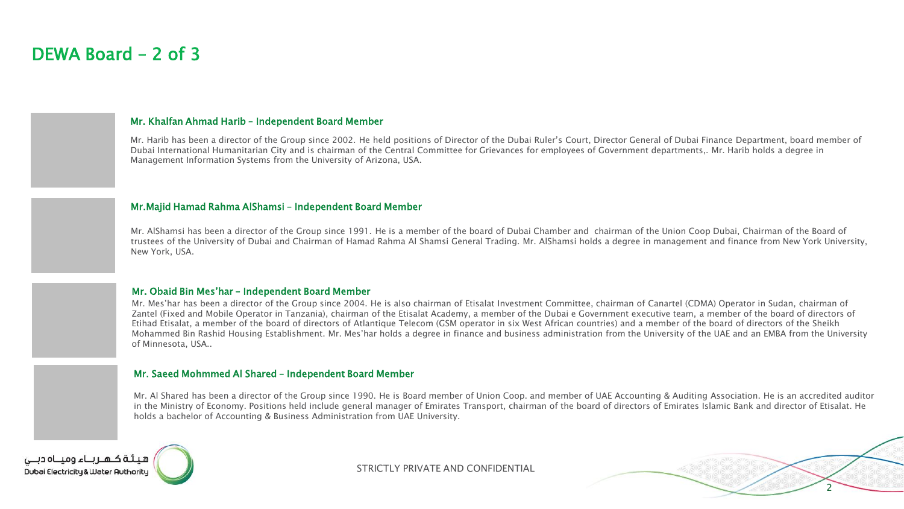# DEWA Board – 2 of 3

# Mr. Khalfan Ahmad Harib – Independent Board Member

Mr. Harib has been a director of the Group since 2002. He held positions of Director of the Dubai Ruler's Court, Director General of Dubai Finance Department, board member of Dubai International Humanitarian City and is chairman of the Central Committee for Grievances for employees of Government departments,. Mr. Harib holds a degree in Management Information Systems from the University of Arizona, USA.

#### Mr.Majid Hamad Rahma AlShamsi – Independent Board Member

Mr. AlShamsi has been a director of the Group since 1991. He is a member of the board of Dubai Chamber and chairman of the Union Coop Dubai, Chairman of the Board of trustees of the University of Dubai and Chairman of Hamad Rahma Al Shamsi General Trading. Mr. AlShamsi holds a degree in management and finance from New York University, New York, USA.

#### Mr. Obaid Bin Mes'har – Independent Board Member

Mr. Mes'har has been a director of the Group since 2004. He is also chairman of Etisalat Investment Committee, chairman of Canartel (CDMA) Operator in Sudan, chairman of Zantel (Fixed and Mobile Operator in Tanzania), chairman of the Etisalat Academy, a member of the Dubai e Government executive team, a member of the board of directors of Etihad Etisalat, a member of the board of directors of Atlantique Telecom (GSM operator in six West African countries) and a member of the board of directors of the Sheikh Mohammed Bin Rashid Housing Establishment. Mr. Mes'har holds a degree in finance and business administration from the University of the UAE and an EMBA from the University of Minnesota, USA..

## Mr. Saeed Mohmmed Al Shared – Independent Board Member

Mr. Al Shared has been a director of the Group since 1990. He is Board member of Union Coop. and member of UAE Accounting & Auditing Association. He is an accredited auditor in the Ministry of Economy. Positions held include general manager of Emirates Transport, chairman of the board of directors of Emirates Islamic Bank and director of Etisalat. He holds a bachelor of Accounting & Business Administration from UAE University.

2



STRICTLY PRIVATE AND CONFIDENTIAL